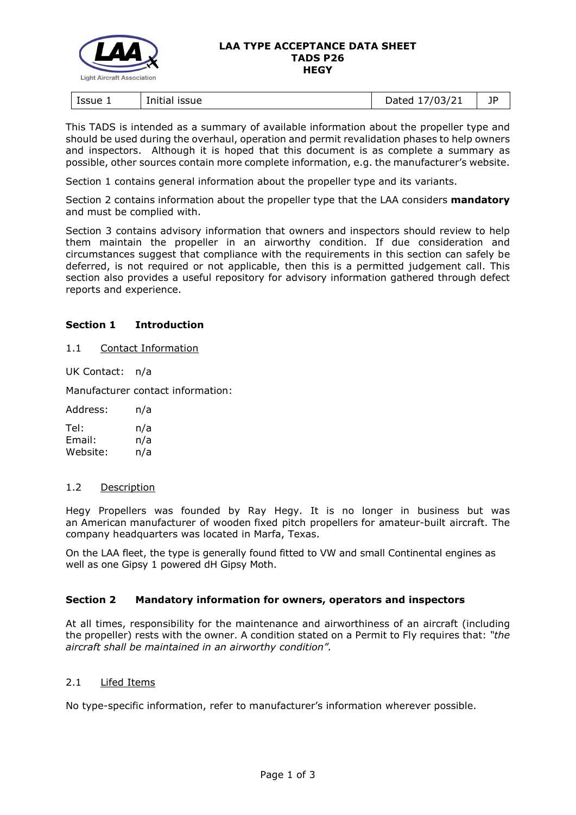

#### **LAA TYPE ACCEPTANCE DATA SHEET TADS P26 HEGY**

| Issue 1<br>issue<br>Initial | 703/21<br>hatar<br>pacca<br>$\overline{\phantom{a}}$ | 10 |
|-----------------------------|------------------------------------------------------|----|
|-----------------------------|------------------------------------------------------|----|

This TADS is intended as a summary of available information about the propeller type and should be used during the overhaul, operation and permit revalidation phases to help owners and inspectors. Although it is hoped that this document is as complete a summary as possible, other sources contain more complete information, e.g. the manufacturer's website.

Section 1 contains general information about the propeller type and its variants.

Section 2 contains information about the propeller type that the LAA considers **mandatory** and must be complied with.

Section 3 contains advisory information that owners and inspectors should review to help them maintain the propeller in an airworthy condition. If due consideration and circumstances suggest that compliance with the requirements in this section can safely be deferred, is not required or not applicable, then this is a permitted judgement call. This section also provides a useful repository for advisory information gathered through defect reports and experience.

# **Section 1 Introduction**

### 1.1 Contact Information

UK Contact: n/a

Manufacturer contact information:

| Address: | n/a |
|----------|-----|
| Tel:     | n/a |
| Email:   | n/a |
| Website: | n/a |

### 1.2 Description

Hegy Propellers was founded by Ray Hegy. It is no longer in business but was an [American](https://en.wikipedia.org/wiki/United_States) manufacturer of wooden fixed pitch [propellers](https://en.wikipedia.org/wiki/Propeller_(aircraft)) for amateur-built aircraft. The company headquarters was located in [Marfa, Texas.](https://en.wikipedia.org/wiki/Marfa,_Texas)

On the LAA fleet, the type is generally found fitted to VW and small Continental engines as well as one Gipsy 1 powered dH Gipsy Moth.

### **Section 2 Mandatory information for owners, operators and inspectors**

At all times, responsibility for the maintenance and airworthiness of an aircraft (including the propeller) rests with the owner. A condition stated on a Permit to Fly requires that: *"the aircraft shall be maintained in an airworthy condition".* 

## 2.1 Lifed Items

No type-specific information, refer to manufacturer's information wherever possible.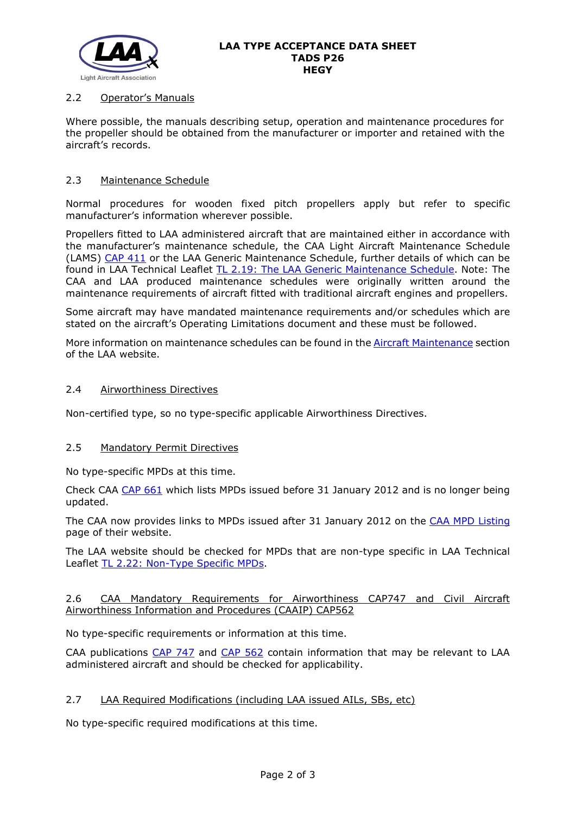

# 2.2 Operator's Manuals

Where possible, the manuals describing setup, operation and maintenance procedures for the propeller should be obtained from the manufacturer or importer and retained with the aircraft's records.

## 2.3 Maintenance Schedule

Normal procedures for wooden fixed pitch propellers apply but refer to specific manufacturer's information wherever possible.

Propellers fitted to LAA administered aircraft that are maintained either in accordance with the manufacturer's maintenance schedule, the CAA Light Aircraft Maintenance Schedule (LAMS) [CAP 411](http://www.caa.co.uk/CAP411) or the LAA Generic Maintenance Schedule, further details of which can be found in LAA Technical Leaflet [TL 2.19: The LAA Generic Maintenance Schedule.](http://www.lightaircraftassociation.co.uk/engineering/TechnicalLeaflets/Operating%20An%20Aircraft/TL%202.19%20The%20LAA%20Generic%20Maintenance%20Schedule.pdf) Note: The CAA and LAA produced maintenance schedules were originally written around the maintenance requirements of aircraft fitted with traditional aircraft engines and propellers.

Some aircraft may have mandated maintenance requirements and/or schedules which are stated on the aircraft's Operating Limitations document and these must be followed.

More information on maintenance schedules can be found in the **Aircraft Maintenance** section of the LAA website.

#### 2.4 Airworthiness Directives

Non-certified type, so no type-specific applicable Airworthiness Directives.

### 2.5 Mandatory Permit Directives

No type-specific MPDs at this time.

Check CAA [CAP 661](http://www.caa.co.uk/cap661) which lists MPDs issued before 31 January 2012 and is no longer being updated.

The CAA now provides links to MPDs issued after 31 January 2012 on the [CAA MPD Listing](http://publicapps.caa.co.uk/modalapplication.aspx?appid=11&mode=list&type=sercat&id=55) page of their website.

The LAA website should be checked for MPDs that are non-type specific in LAA Technical Leaflet [TL 2.22: Non-Type Specific MPDs.](http://www.lightaircraftassociation.co.uk/engineering/TechnicalLeaflets/Operating%20An%20Aircraft/TL%202.22%20non-type%20specific%20MPDs.pdf)

### 2.6 CAA Mandatory Requirements for Airworthiness CAP747 and Civil Aircraft Airworthiness Information and Procedures (CAAIP) CAP562

No type-specific requirements or information at this time.

CAA publications [CAP 747](http://www.caa.co.uk/CAP747) and [CAP 562](http://www.caa.co.uk/CAP562) contain information that may be relevant to LAA administered aircraft and should be checked for applicability.

## 2.7 LAA Required Modifications (including LAA issued AILs, SBs, etc)

No type-specific required modifications at this time.